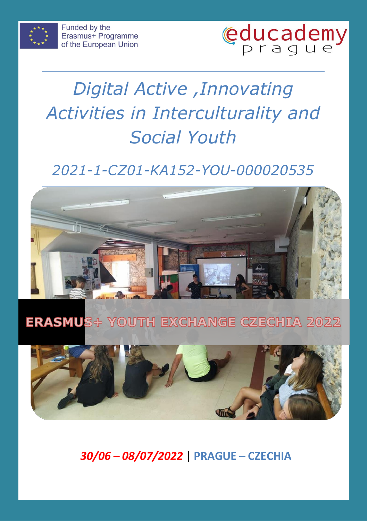



## *2021-1-CZ01-KA152-YOU-000020535*



## **ERASMUS+ YOUTH EXCHANGE CZECHIA 2022**



*30/06 – 08/07/2022* | **PRAGUE – CZECHIA**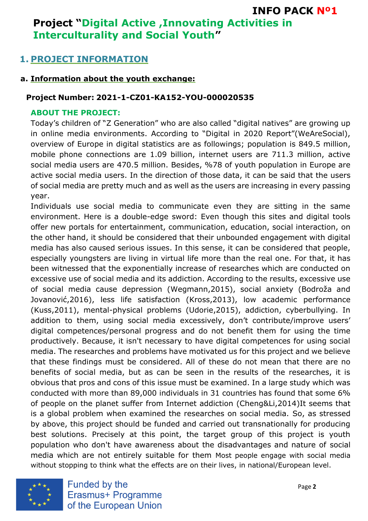#### **1. PROJECT INFORMATION**

#### **a. Information about the youth exchange:**

#### **Project Number: 2021-1-CZ01-KA152-YOU-000020535**

#### **ABOUT THE PROJECT:**

Today's children of "Z Generation" who are also called "digital natives" are growing up in online media environments. According to "Digital in 2020 Report"(WeAreSocial), overview of Europe in digital statistics are as followings; population is 849.5 million, mobile phone connections are 1.09 billion, internet users are 711.3 million, active social media users are 470.5 million. Besides, %78 of youth population in Europe are active social media users. In the direction of those data, it can be said that the users of social media are pretty much and as well as the users are increasing in every passing year.

Individuals use social media to communicate even they are sitting in the same environment. Here is a double-edge sword: Even though this sites and digital tools offer new portals for entertainment, communication, education, social interaction, on the other hand, it should be considered that their unbounded engagement with digital media has also caused serious issues. In this sense, it can be considered that people, especially youngsters are living in virtual life more than the real one. For that, it has been witnessed that the exponentially increase of researches which are conducted on excessive use of social media and its addiction. According to the results, excessive use of social media cause depression (Wegmann,2015), social anxiety (Bodroža and Jovanović,2016), less life satisfaction (Kross,2013), low academic performance (Kuss,2011), mental-physical problems (Udorie,2015), addiction, cyberbullying. In addition to them, using social media excessively, don't contribute/improve users' digital competences/personal progress and do not benefit them for using the time productively. Because, it isn't necessary to have digital competences for using social media. The researches and problems have motivated us for this project and we believe that these findings must be considered. All of these do not mean that there are no benefits of social media, but as can be seen in the results of the researches, it is obvious that pros and cons of this issue must be examined. In a large study which was conducted with more than 89,000 individuals in 31 countries has found that some 6% of people on the planet suffer from Internet addiction (Cheng&Li,2014)It seems that is a global problem when examined the researches on social media. So, as stressed by above, this project should be funded and carried out transnationally for producing best solutions. Precisely at this point, the target group of this project is youth population who don't have awareness about the disadvantages and nature of social media which are not entirely suitable for them Most people engage with social media without stopping to think what the effects are on their lives, in national/European level.



Funded by the Erasmus+ Programme of the European Union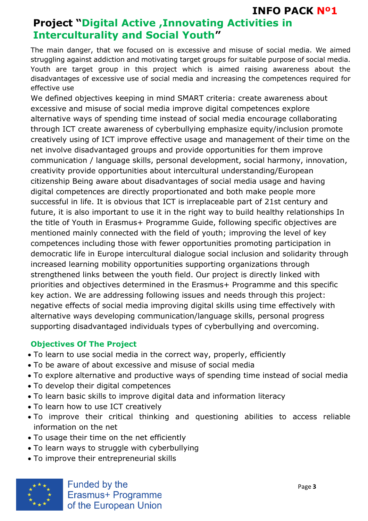The main danger, that we focused on is excessive and misuse of social media. We aimed struggling against addiction and motivating target groups for suitable purpose of social media. Youth are target group in this project which is aimed raising awareness about the disadvantages of excessive use of social media and increasing the competences required for effective use

We defined objectives keeping in mind SMART criteria: create awareness about excessive and misuse of social media improve digital competences explore alternative ways of spending time instead of social media encourage collaborating through ICT create awareness of cyberbullying emphasize equity/inclusion promote creatively using of ICT improve effective usage and management of their time on the net involve disadvantaged groups and provide opportunities for them improve communication / language skills, personal development, social harmony, innovation, creativity provide opportunities about intercultural understanding/European citizenship Being aware about disadvantages of social media usage and having digital competences are directly proportionated and both make people more successful in life. It is obvious that ICT is irreplaceable part of 21st century and future, it is also important to use it in the right way to build healthy relationships In the title of Youth in Erasmus+ Programme Guide, following specific objectives are mentioned mainly connected with the field of youth; improving the level of key competences including those with fewer opportunities promoting participation in democratic life in Europe intercultural dialogue social inclusion and solidarity through increased learning mobility opportunities supporting organizations through strengthened links between the youth field. Our project is directly linked with priorities and objectives determined in the Erasmus+ Programme and this specific key action. We are addressing following issues and needs through this project: negative effects of social media improving digital skills using time effectively with alternative ways developing communication/language skills, personal progress supporting disadvantaged individuals types of cyberbullying and overcoming.

#### **Objectives Of The Project**

- To learn to use social media in the correct way, properly, efficiently
- To be aware of about excessive and misuse of social media
- To explore alternative and productive ways of spending time instead of social media
- To develop their digital competences
- To learn basic skills to improve digital data and information literacy
- To learn how to use ICT creatively
- To improve their critical thinking and questioning abilities to access reliable information on the net
- To usage their time on the net efficiently
- To learn ways to struggle with cyberbullying
- To improve their entrepreneurial skills

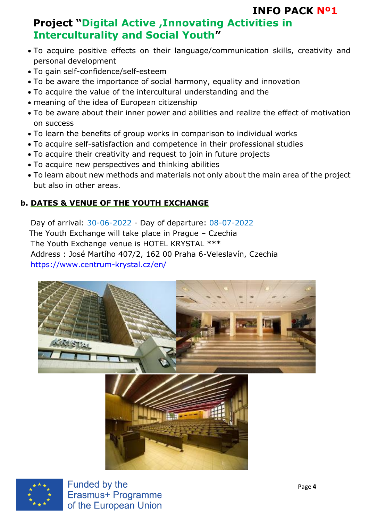## **Project "Digital Active ,Innovating Activities in Interculturality and Social Youth"**

- To acquire positive effects on their language/communication skills, creativity and personal development
- To gain self-confidence/self-esteem
- To be aware the importance of social harmony, equality and innovation
- To acquire the value of the intercultural understanding and the
- meaning of the idea of European citizenship
- To be aware about their inner power and abilities and realize the effect of motivation on success
- To learn the benefits of group works in comparison to individual works
- To acquire self-satisfaction and competence in their professional studies
- To acquire their creativity and request to join in future projects
- To acquire new perspectives and thinking abilities
- To learn about new methods and materials not only about the main area of the project but also in other areas.

#### **b. DATES & VENUE OF THE YOUTH EXCHANGE**

Day of arrival: 30-06-2022 - Day of departure: 08-07-2022 The Youth Exchange will take place in Prague – Czechia The Youth Exchange venue is HOTEL KRYSTAL \*\*\* Address : José Martího 407/2, 162 00 Praha 6-Veleslavín, Czechia <https://www.centrum-krystal.cz/en/>





Funded by the Erasmus+ Programme of the European Union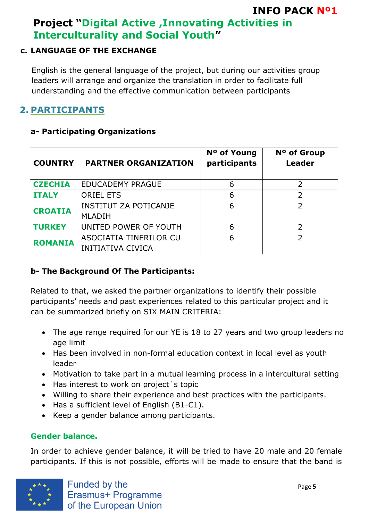#### **c. LANGUAGE OF THE EXCHANGE**

English is the general language of the project, but during our activities group leaders will arrange and organize the translation in order to facilitate full understanding and the effective communication between participants

### **2. PARTICIPANTS**

#### **a- Participating Organizations**

| <b>COUNTRY</b> | <b>PARTNER ORGANIZATION</b>                        | Nº of Young<br>participants | N <sup>o</sup> of Group<br><b>Leader</b> |
|----------------|----------------------------------------------------|-----------------------------|------------------------------------------|
| <b>CZECHIA</b> | <b>EDUCADEMY PRAGUE</b>                            | 6                           |                                          |
| <b>ITALY</b>   | <b>ORIEL ETS</b>                                   | 6                           | 2                                        |
| <b>CROATIA</b> | <b>INSTITUT ZA POTICANJE</b><br><b>MLADIH</b>      | 6                           | $\overline{\phantom{a}}$                 |
| <b>TURKEY</b>  | UNITED POWER OF YOUTH                              | 6                           | 2                                        |
| <b>ROMANIA</b> | ASOCIATIA TINERILOR CU<br><b>INITIATIVA CIVICA</b> | 6                           | $\overline{\phantom{a}}$                 |

#### **b- The Background Of The Participants:**

Related to that, we asked the partner organizations to identify their possible participants' needs and past experiences related to this particular project and it can be summarized briefly on SIX MAIN CRITERIA:

- The age range required for our YE is 18 to 27 years and two group leaders no age limit
- Has been involved in non-formal education context in local level as youth leader
- Motivation to take part in a mutual learning process in a intercultural setting
- Has interest to work on project's topic
- Willing to share their experience and best practices with the participants.
- Has a sufficient level of English (B1-C1).
- Keep a gender balance among participants.

#### **Gender balance.**

In order to achieve gender balance, it will be tried to have 20 male and 20 female participants. If this is not possible, efforts will be made to ensure that the band is

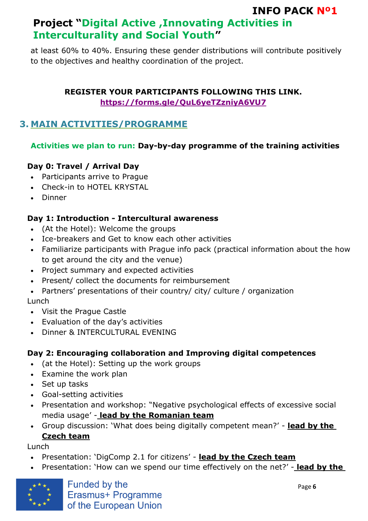at least 60% to 40%. Ensuring these gender distributions will contribute positively to the objectives and healthy coordination of the project.

#### **REGISTER YOUR PARTICIPANTS FOLLOWING THIS LINK. <https://forms.gle/QuL6yeTZzniyA6VU7>**

#### **3. MAIN ACTIVITIES/PROGRAMME**

#### **Activities we plan to run: Day-by-day programme of the training activities**

#### **Day 0: Travel / Arrival Day**

- Participants arrive to Prague
- Check-in to HOTEL KRYSTAL
- Dinner

#### **Day 1: Introduction - Intercultural awareness**

- (At the Hotel): Welcome the groups
- Ice-breakers and Get to know each other activities
- Familiarize participants with Prague info pack (practical information about the how to get around the city and the venue)
- Project summary and expected activities
- Present/ collect the documents for reimbursement
- Partners' presentations of their country/ city/ culture / organization

#### Lunch

- Visit the Prague Castle
- Evaluation of the day's activities
- Dinner & INTERCULTURAL EVENING

#### **Day 2: Encouraging collaboration and Improving digital competences**

- (at the Hotel): Setting up the work groups
- Examine the work plan
- Set up tasks
- Goal-setting activities
- Presentation and workshop: "Negative psychological effects of excessive social media usage' - **lead by the Romanian team**
- Group discussion: 'What does being digitally competent mean?' **lead by the Czech team**

Lunch

- Presentation: 'DigComp 2.1 for citizens' **lead by the Czech team**
- Presentation: 'How can we spend our time effectively on the net?' **lead by the**

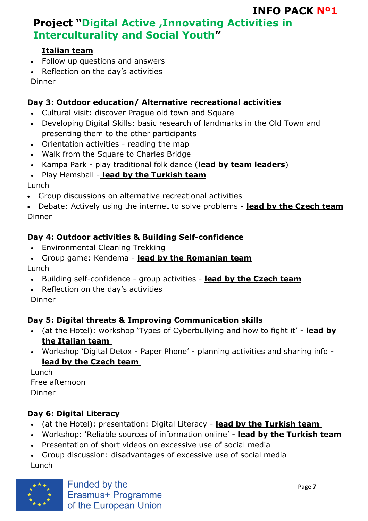#### **Italian team**

- Follow up questions and answers
- Reflection on the day's activities

Dinner

#### **Day 3: Outdoor education/ Alternative recreational activities**

- Cultural visit: discover Prague old town and Square
- Developing Digital Skills: basic research of landmarks in the Old Town and presenting them to the other participants
- Orientation activities reading the map
- Walk from the Square to Charles Bridge
- Kampa Park play traditional folk dance (**lead by team leaders**)
- Play Hemsball **lead by the Turkish team**

#### Lunch

• Group discussions on alternative recreational activities

• Debate: Actively using the internet to solve problems - **lead by the Czech team** Dinner

#### **Day 4: Outdoor activities & Building Self-confidence**

- Environmental Cleaning Trekking
- Group game: Kendema **lead by the Romanian team**

#### Lunch

- Building self-confidence group activities **lead by the Czech team**
- Reflection on the day's activities

Dinner

#### **Day 5: Digital threats & Improving Communication skills**

- (at the Hotel): workshop 'Types of Cyberbullying and how to fight it' **lead by the Italian team**
- Workshop 'Digital Detox Paper Phone' planning activities and sharing info **lead by the Czech team**

Lunch Free afternoon Dinner

#### **Day 6: Digital Literacy**

- (at the Hotel): presentation: Digital Literacy **lead by the Turkish team**
- Workshop: 'Reliable sources of information online' **lead by the Turkish team**
- Presentation of short videos on excessive use of social media
- Group discussion: disadvantages of excessive use of social media Lunch

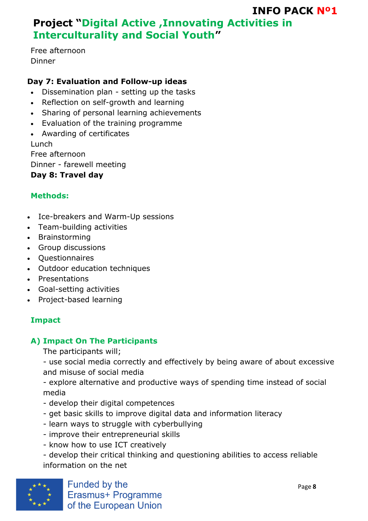## **Project "Digital Active ,Innovating Activities in Interculturality and Social Youth"**

Free afternoon Dinner

#### **Day 7: Evaluation and Follow-up ideas**

- Dissemination plan setting up the tasks
- Reflection on self-growth and learning
- Sharing of personal learning achievements
- Evaluation of the training programme
- Awarding of certificates Lunch

Free afternoon Dinner - farewell meeting **Day 8: Travel day** 

#### **Methods:**

- Ice-breakers and Warm-Up sessions
- Team-building activities
- Brainstorming
- Group discussions
- Questionnaires
- Outdoor education techniques
- Presentations
- Goal-setting activities
- Project-based learning

#### **Impact**

#### **A) Impact On The Participants**

The participants will;

- use social media correctly and effectively by being aware of about excessive and misuse of social media

- explore alternative and productive ways of spending time instead of social media

- develop their digital competences
- get basic skills to improve digital data and information literacy
- learn ways to struggle with cyberbullying
- improve their entrepreneurial skills
- know how to use ICT creatively

- develop their critical thinking and questioning abilities to access reliable information on the net

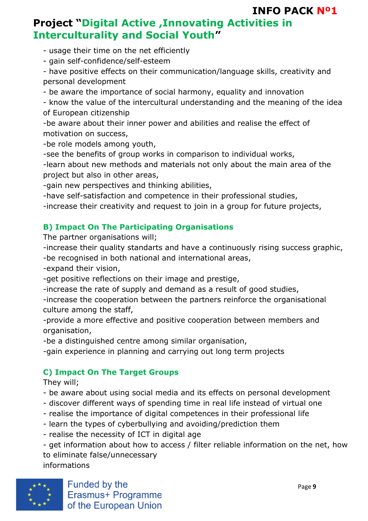## **Project "Digital Active ,Innovating Activities in Interculturality and Social Youth"**

- usage their time on the net efficiently

- gain self-confidence/self-esteem

- have positive effects on their communication/language skills, creativity and personal development

- be aware the importance of social harmony, equality and innovation

- know the value of the intercultural understanding and the meaning of the idea of European citizenship

-be aware about their inner power and abilities and realise the effect of motivation on success,

-be role models among youth,

-see the benefits of group works in comparison to individual works,

-learn about new methods and materials not only about the main area of the project but also in other areas,

-gain new perspectives and thinking abilities,

-have self-satisfaction and competence in their professional studies,

-increase their creativity and request to join in a group for future projects,

#### **B) Impact On The Participating Organisations**

The partner organisations will;

-increase their quality standarts and have a continuously rising success graphic, -be recognised in both national and international areas,

-expand their vision,

-get positive reflections on their image and prestige,

-increase the rate of supply and demand as a result of good studies,

-increase the cooperation between the partners reinforce the organisational culture among the staff,

-provide a more effective and positive cooperation between members and organisation,

-be a distinguished centre among similar organisation,

-gain experience in planning and carrying out long term projects

#### **C) Impact On The Target Groups**

They will;

- be aware about using social media and its effects on personal development
- discover different ways of spending time in real life instead of virtual one
- realise the importance of digital competences in their professional life
- learn the types of cyberbullying and avoiding/prediction them
- realise the necessity of ICT in digital age

- get information about how to access / filter reliable information on the net, how to eliminate false/unnecessary informations

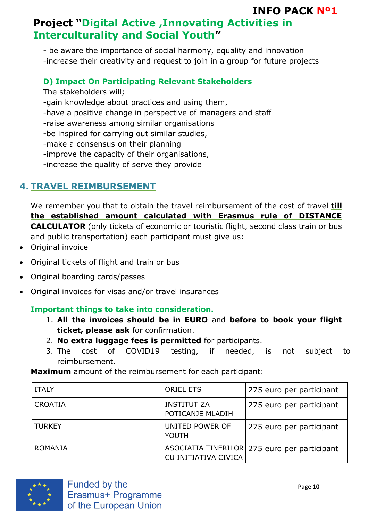## **Project "Digital Active ,Innovating Activities in Interculturality and Social Youth"**

- be aware the importance of social harmony, equality and innovation -increase their creativity and request to join in a group for future projects

#### **D) Impact On Participating Relevant Stakeholders**

The stakeholders will; -gain knowledge about practices and using them, -have a positive change in perspective of managers and staff -raise awareness among similar organisations -be inspired for carrying out similar studies, -make a consensus on their planning -improve the capacity of their organisations, -increase the quality of serve they provide

#### **4. TRAVEL REIMBURSEMENT**

We remember you that to obtain the travel reimbursement of the cost of travel **till the established amount calculated with Erasmus rule of DISTANCE CALCULATOR** (only tickets of economic or touristic flight, second class train or bus and public transportation) each participant must give us:

- Original invoice
- Original tickets of flight and train or bus
- Original boarding cards/passes
- Original invoices for visas and/or travel insurances

#### **Important things to take into consideration.**

- 1. **All the invoices should be in EURO** and **before to book your flight ticket, please ask** for confirmation.
- 2. **No extra luggage fees is permitted** for participants.
- 3. The cost of COVID19 testing, if needed, is not subject to reimbursement.

**Maximum** amount of the reimbursement for each participant:

| <b>ITALY</b>   | <b>ORIEL ETS</b>                       | 275 euro per participant                     |
|----------------|----------------------------------------|----------------------------------------------|
| <b>CROATIA</b> | <b>INSTITUT ZA</b><br>POTICANJE MLADIH | 275 euro per participant                     |
| <b>TURKEY</b>  | UNITED POWER OF<br><b>YOUTH</b>        | 275 euro per participant                     |
| <b>ROMANIA</b> | CU INITIATIVA CIVICA                   | ASOCIATIA TINERILOR 275 euro per participant |

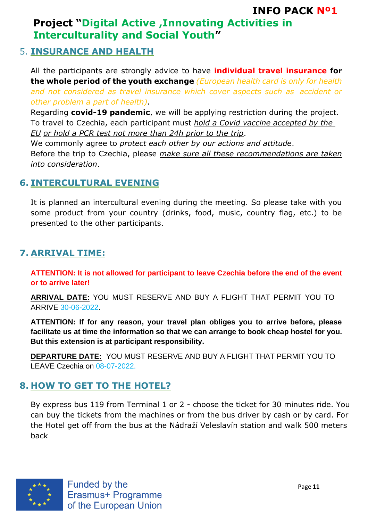#### 5. **INSURANCE AND HEALTH**

All the participants are strongly advice to have **individual travel insurance for the whole period of the youth exchange** *(European health card is only for health and not considered as travel insurance which cover aspects such as accident or other problem a part of health)*.

Regarding **covid-19 pandemic**, we will be applying restriction during the project. To travel to Czechia, each participant must *hold a Covid vaccine accepted by the EU or hold a PCR test not more than 24h prior to the trip*.

We commonly agree to *protect each other by our actions and attitude*.

Before the trip to Czechia, please *make sure all these recommendations are taken into consideration*.

#### **6. INTERCULTURAL EVENING**

It is planned an intercultural evening during the meeting. So please take with you some product from your country (drinks, food, music, country flag, etc.) to be presented to the other participants.

#### **7. ARRIVAL TIME:**

**ATTENTION: It is not allowed for participant to leave Czechia before the end of the event or to arrive later!**

**ARRIVAL DATE:** YOU MUST RESERVE AND BUY A FLIGHT THAT PERMIT YOU TO ARRIVE 30-06-2022.

**ATTENTION: If for any reason, your travel plan obliges you to arrive before, please facilitate us at time the information so that we can arrange to book cheap hostel for you. But this extension is at participant responsibility.**

**DEPARTURE DATE:** YOU MUST RESERVE AND BUY A FLIGHT THAT PERMIT YOU TO LEAVE Czechia on 08-07-2022.

#### **8. HOW TO GET TO THE HOTEL?**

By express bus 119 from Terminal 1 or 2 - choose the ticket for 30 minutes ride. You can buy the tickets from the machines or from the bus driver by cash or by card. For the Hotel get off from the bus at the Nádraží Veleslavín station and walk 500 meters back